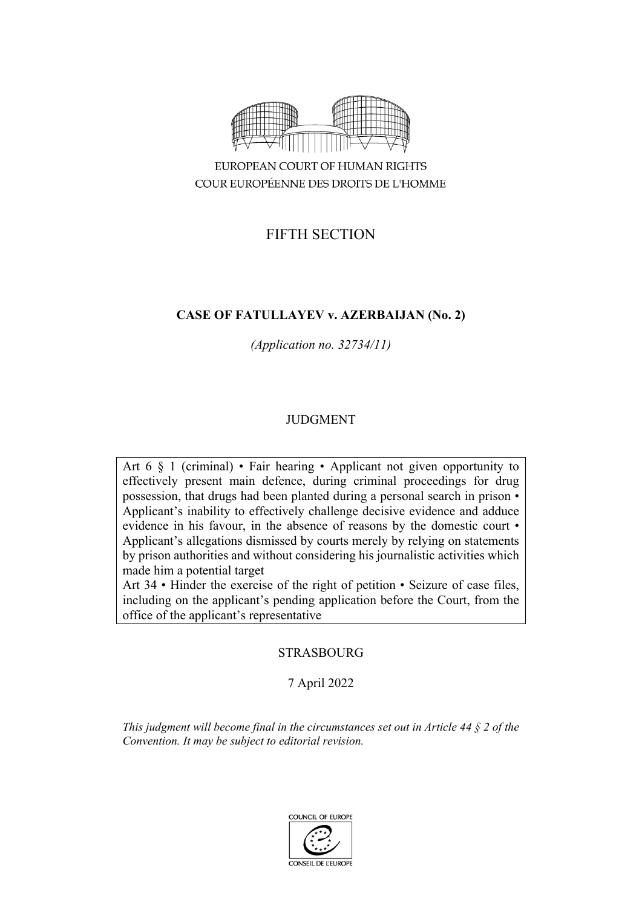

EUROPEAN COURT OF HUMAN RIGHTS COUR EUROPÉENNE DES DROITS DE L'HOMME

# FIFTH SECTION

# **CASE OF FATULLAYEV v. AZERBAIJAN (No. 2)**

*(Application no. 32734/11)*

# JUDGMENT

Art 6 § 1 (criminal) • Fair hearing • Applicant not given opportunity to effectively present main defence, during criminal proceedings for drug possession, that drugs had been planted during a personal search in prison • Applicant's inability to effectively challenge decisive evidence and adduce evidence in his favour, in the absence of reasons by the domestic court • Applicant's allegations dismissed by courts merely by relying on statements by prison authorities and without considering his journalistic activities which made him a potential target

Art 34 • Hinder the exercise of the right of petition • Seizure of case files, including on the applicant's pending application before the Court, from the office of the applicant's representative

STRASBOURG

7 April 2022

*This judgment will become final in the circumstances set out in Article 44 § 2 of the Convention. It may be subject to editorial revision.*

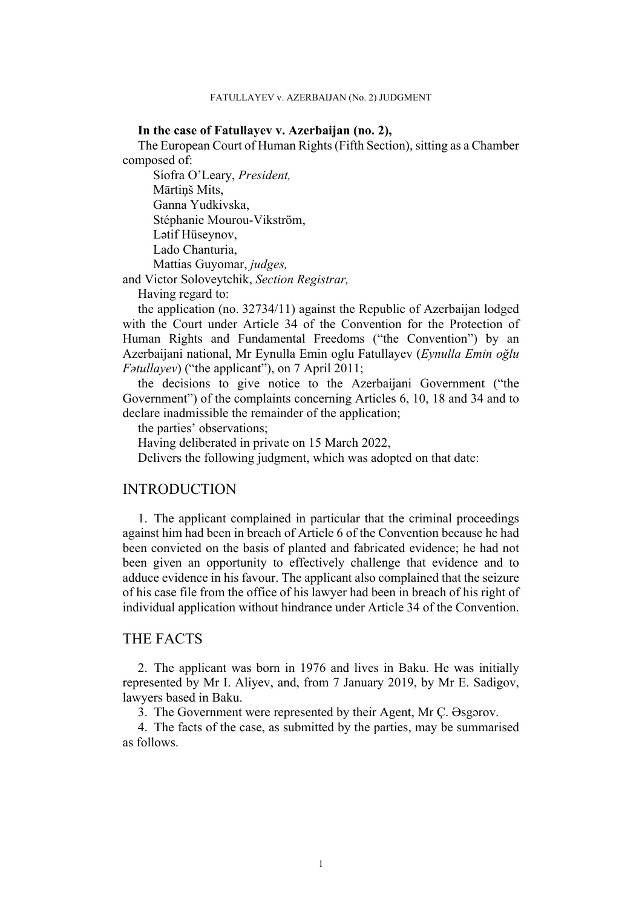### **In the case of Fatullayev v. Azerbaijan (no. 2),**

The European Court of Human Rights (Fifth Section), sitting as a Chamber composed of:

Síofra O'Leary, *President,* Mārtiņš Mits, Ganna Yudkivska, Stéphanie Mourou-Vikström, Lətif Hüseynov, Lado Chanturia, Mattias Guyomar, *judges,*

and Victor Soloveytchik, *Section Registrar,*

Having regard to:

the application (no. 32734/11) against the Republic of Azerbaijan lodged with the Court under Article 34 of the Convention for the Protection of Human Rights and Fundamental Freedoms ("the Convention") by an Azerbaijani national, Mr Eynulla Emin oglu Fatullayev (*Eynulla Emin oğlu Fətullayev*) ("the applicant"), on 7 April 2011;

the decisions to give notice to the Azerbaijani Government ("the Government") of the complaints concerning Articles 6, 10, 18 and 34 and to declare inadmissible the remainder of the application;

the parties' observations;

Having deliberated in private on 15 March 2022,

Delivers the following judgment, which was adopted on that date:

# INTRODUCTION

1. The applicant complained in particular that the criminal proceedings against him had been in breach of Article 6 of the Convention because he had been convicted on the basis of planted and fabricated evidence; he had not been given an opportunity to effectively challenge that evidence and to adduce evidence in his favour. The applicant also complained that the seizure of his case file from the office of his lawyer had been in breach of his right of individual application without hindrance under Article 34 of the Convention.

# THE FACTS

2. The applicant was born in 1976 and lives in Baku. He was initially represented by Mr I. Aliyev, and, from 7 January 2019, by Mr E. Sadigov, lawyers based in Baku.

3. The Government were represented by their Agent, Mr Ç. Əsgərov.

4. The facts of the case, as submitted by the parties, may be summarised as follows.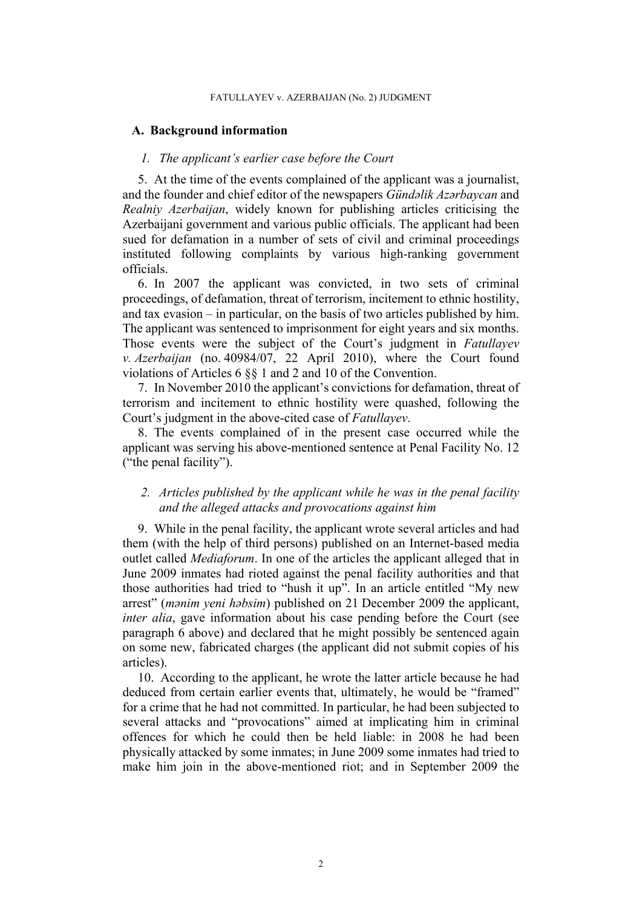#### FATULLAYEV v. AZERBAIJAN (No. 2) JUDGMENT

## **A. Background information**

## *1. The applicant's earlier case before the Court*

5. At the time of the events complained of the applicant was a journalist, and the founder and chief editor of the newspapers *Gündəlik Azərbaycan* and *Realniy Azerbaijan*, widely known for publishing articles criticising the Azerbaijani government and various public officials. The applicant had been sued for defamation in a number of sets of civil and criminal proceedings instituted following complaints by various high-ranking government officials.

<span id="page-3-0"></span>6. In 2007 the applicant was convicted, in two sets of criminal proceedings, of defamation, threat of terrorism, incitement to ethnic hostility, and tax evasion – in particular, on the basis of two articles published by him. The applicant was sentenced to imprisonment for eight years and six months. Those events were the subject of the Court's judgment in *Fatullayev v. Azerbaijan* (no. 40984/07, 22 April 2010), where the Court found violations of Articles 6 §§ 1 and 2 and 10 of the Convention.

<span id="page-3-3"></span>7. In November 2010 the applicant's convictions for defamation, threat of terrorism and incitement to ethnic hostility were quashed, following the Court's judgment in the above-cited case of *Fatullayev*.

8. The events complained of in the present case occurred while the applicant was serving his above-mentioned sentence at Penal Facility No. 12 ("the penal facility").

# *2. Articles published by the applicant while he was in the penal facility and the alleged attacks and provocations against him*

<span id="page-3-1"></span>9. While in the penal facility, the applicant wrote several articles and had them (with the help of third persons) published on an Internet-based media outlet called *Mediaforum*. In one of the articles the applicant alleged that in June 2009 inmates had rioted against the penal facility authorities and that those authorities had tried to "hush it up". In an article entitled "My new arrest" (*mənim yeni həbsim*) published on 21 December 2009 the applicant, *inter alia*, gave information about his case pending before the Court (see paragraph [6](#page-3-0) above) and declared that he might possibly be sentenced again on some new, fabricated charges (the applicant did not submit copies of his articles).

<span id="page-3-2"></span>10. According to the applicant, he wrote the latter article because he had deduced from certain earlier events that, ultimately, he would be "framed" for a crime that he had not committed. In particular, he had been subjected to several attacks and "provocations" aimed at implicating him in criminal offences for which he could then be held liable: in 2008 he had been physically attacked by some inmates; in June 2009 some inmates had tried to make him join in the above-mentioned riot; and in September 2009 the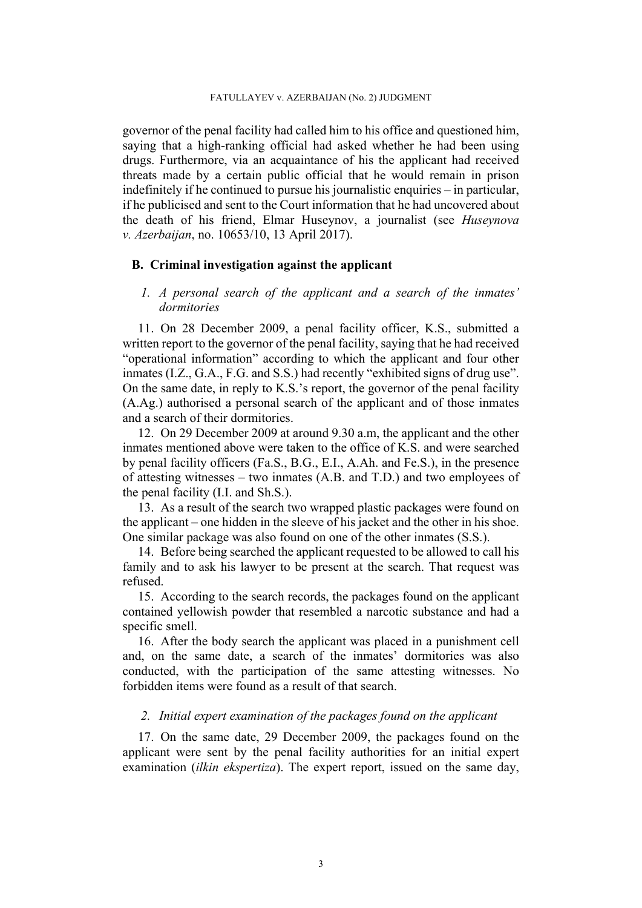governor of the penal facility had called him to his office and questioned him, saying that a high-ranking official had asked whether he had been using drugs. Furthermore, via an acquaintance of his the applicant had received threats made by a certain public official that he would remain in prison indefinitely if he continued to pursue his journalistic enquiries – in particular, if he publicised and sent to the Court information that he had uncovered about the death of his friend, Elmar Huseynov, a journalist (see *Huseynova v. Azerbaijan*, no. 10653/10, 13 April 2017).

# **B. Criminal investigation against the applicant**

# *1. A personal search of the applicant and a search of the inmates' dormitories*

<span id="page-4-0"></span>11. On 28 December 2009, a penal facility officer, K.S., submitted a written report to the governor of the penal facility, saying that he had received "operational information" according to which the applicant and four other inmates (I.Z., G.A., F.G. and S.S.) had recently "exhibited signs of drug use". On the same date, in reply to K.S.'s report, the governor of the penal facility (A.Ag.) authorised a personal search of the applicant and of those inmates and a search of their dormitories.

<span id="page-4-1"></span>12. On 29 December 2009 at around 9.30 a.m, the applicant and the other inmates mentioned above were taken to the office of K.S. and were searched by penal facility officers (Fa.S., B.G., E.I., A.Ah. and Fe.S.), in the presence of attesting witnesses – two inmates (A.B. and T.D.) and two employees of the penal facility (I.I. and Sh.S.).

13. As a result of the search two wrapped plastic packages were found on the applicant – one hidden in the sleeve of his jacket and the other in his shoe. One similar package was also found on one of the other inmates (S.S.).

14. Before being searched the applicant requested to be allowed to call his family and to ask his lawyer to be present at the search. That request was refused.

15. According to the search records, the packages found on the applicant contained yellowish powder that resembled a narcotic substance and had a specific smell.

16. After the body search the applicant was placed in a punishment cell and, on the same date, a search of the inmates' dormitories was also conducted, with the participation of the same attesting witnesses. No forbidden items were found as a result of that search.

# *2. Initial expert examination of the packages found on the applicant*

<span id="page-4-2"></span>17. On the same date, 29 December 2009, the packages found on the applicant were sent by the penal facility authorities for an initial expert examination (*ilkin ekspertiza*). The expert report, issued on the same day,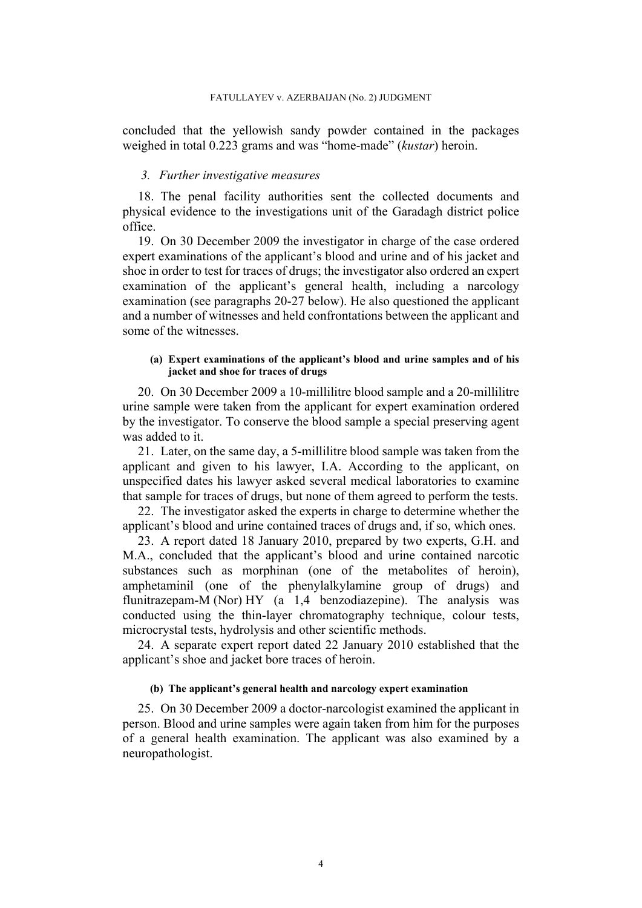concluded that the yellowish sandy powder contained in the packages weighed in total 0.223 grams and was "home-made" (*kustar*) heroin.

#### *3. Further investigative measures*

18. The penal facility authorities sent the collected documents and physical evidence to the investigations unit of the Garadagh district police office.

<span id="page-5-3"></span>19. On 30 December 2009 the investigator in charge of the case ordered expert examinations of the applicant's blood and urine and of his jacket and shoe in order to test for traces of drugs; the investigator also ordered an expert examination of the applicant's general health, including a narcology examination (see paragraphs [20](#page-5-0)[-27](#page-6-0) below). He also questioned the applicant and a number of witnesses and held confrontations between the applicant and some of the witnesses.

### **(a) Expert examinations of the applicant's blood and urine samples and of his jacket and shoe for traces of drugs**

<span id="page-5-0"></span>20. On 30 December 2009 a 10-millilitre blood sample and a 20-millilitre urine sample were taken from the applicant for expert examination ordered by the investigator. To conserve the blood sample a special preserving agent was added to it.

<span id="page-5-4"></span>21. Later, on the same day, a 5-millilitre blood sample was taken from the applicant and given to his lawyer, I.A. According to the applicant, on unspecified dates his lawyer asked several medical laboratories to examine that sample for traces of drugs, but none of them agreed to perform the tests.

22. The investigator asked the experts in charge to determine whether the applicant's blood and urine contained traces of drugs and, if so, which ones.

<span id="page-5-1"></span>23. A report dated 18 January 2010, prepared by two experts, G.H. and M.A., concluded that the applicant's blood and urine contained narcotic substances such as morphinan (one of the metabolites of heroin), amphetaminil (one of the phenylalkylamine group of drugs) and flunitrazepam-M (Nor) HY (a 1,4 benzodiazepine). The analysis was conducted using the thin-layer chromatography technique, colour tests, microcrystal tests, hydrolysis and other scientific methods.

<span id="page-5-2"></span>24. A separate expert report dated 22 January 2010 established that the applicant's shoe and jacket bore traces of heroin.

#### **(b) The applicant's general health and narcology expert examination**

25. On 30 December 2009 a doctor-narcologist examined the applicant in person. Blood and urine samples were again taken from him for the purposes of a general health examination. The applicant was also examined by a neuropathologist.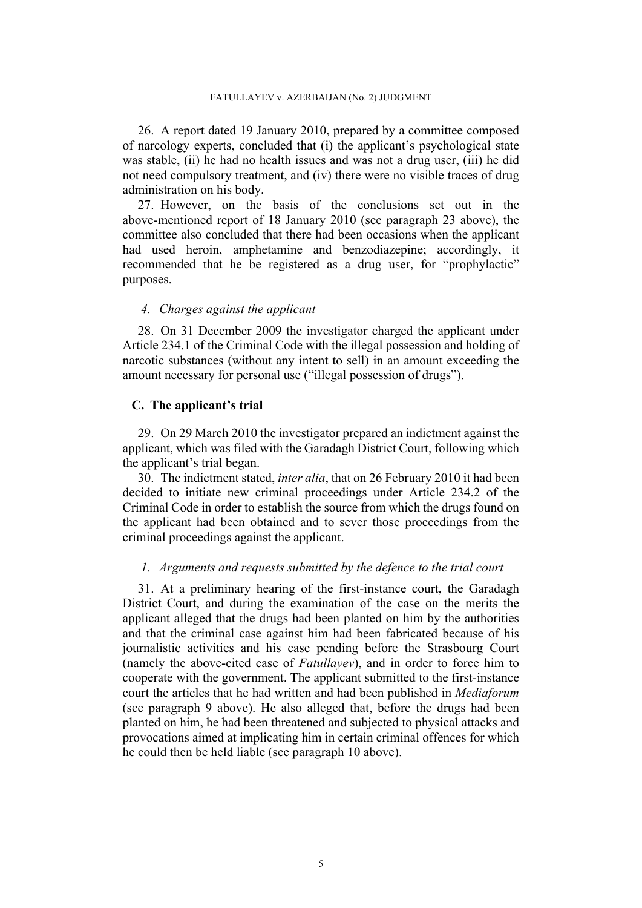<span id="page-6-2"></span>26. A report dated 19 January 2010, prepared by a committee composed of narcology experts, concluded that (i) the applicant's psychological state was stable, (ii) he had no health issues and was not a drug user, (iii) he did not need compulsory treatment, and (iv) there were no visible traces of drug administration on his body.

<span id="page-6-0"></span>27. However, on the basis of the conclusions set out in the above-mentioned report of 18 January 2010 (see paragraph [23](#page-5-1) above), the committee also concluded that there had been occasions when the applicant had used heroin, amphetamine and benzodiazepine; accordingly, it recommended that he be registered as a drug user, for "prophylactic" purposes.

# *4. Charges against the applicant*

28. On 31 December 2009 the investigator charged the applicant under Article 234.1 of the Criminal Code with the illegal possession and holding of narcotic substances (without any intent to sell) in an amount exceeding the amount necessary for personal use ("illegal possession of drugs").

# **C. The applicant's trial**

29. On 29 March 2010 the investigator prepared an indictment against the applicant, which was filed with the Garadagh District Court, following which the applicant's trial began.

<span id="page-6-1"></span>30. The indictment stated, *inter alia*, that on 26 February 2010 it had been decided to initiate new criminal proceedings under Article 234.2 of the Criminal Code in order to establish the source from which the drugs found on the applicant had been obtained and to sever those proceedings from the criminal proceedings against the applicant.

# *1. Arguments and requests submitted by the defence to the trial court*

<span id="page-6-3"></span>31. At a preliminary hearing of the first-instance court, the Garadagh District Court, and during the examination of the case on the merits the applicant alleged that the drugs had been planted on him by the authorities and that the criminal case against him had been fabricated because of his journalistic activities and his case pending before the Strasbourg Court (namely the above-cited case of *Fatullayev*), and in order to force him to cooperate with the government. The applicant submitted to the first-instance court the articles that he had written and had been published in *Mediaforum* (see paragraph [9](#page-3-1) above). He also alleged that, before the drugs had been planted on him, he had been threatened and subjected to physical attacks and provocations aimed at implicating him in certain criminal offences for which he could then be held liable (see paragraph [10](#page-3-2) above).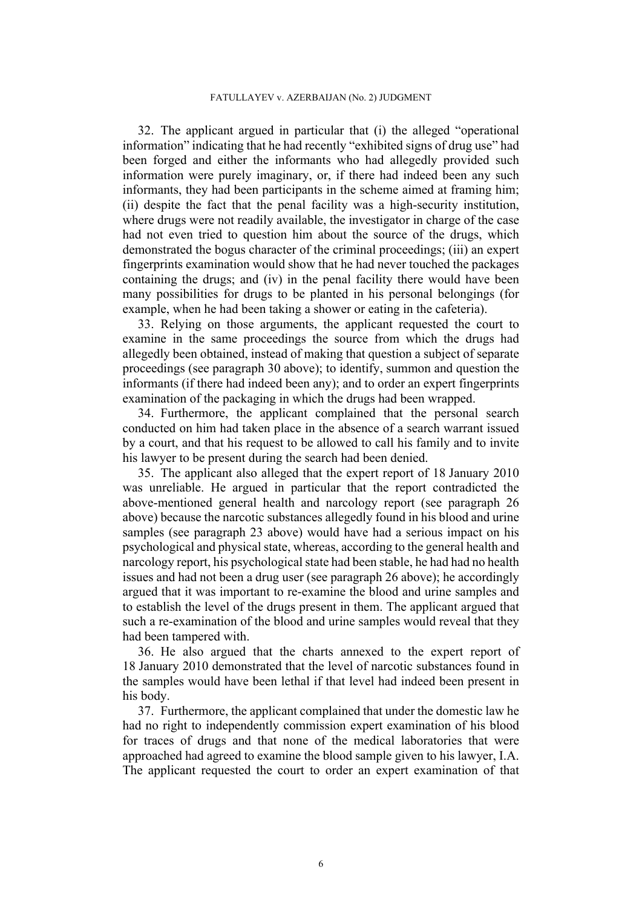<span id="page-7-0"></span>32. The applicant argued in particular that (i) the alleged "operational information" indicating that he had recently "exhibited signs of drug use" had been forged and either the informants who had allegedly provided such information were purely imaginary, or, if there had indeed been any such informants, they had been participants in the scheme aimed at framing him; (ii) despite the fact that the penal facility was a high-security institution, where drugs were not readily available, the investigator in charge of the case had not even tried to question him about the source of the drugs, which demonstrated the bogus character of the criminal proceedings; (iii) an expert fingerprints examination would show that he had never touched the packages containing the drugs; and (iv) in the penal facility there would have been many possibilities for drugs to be planted in his personal belongings (for example, when he had been taking a shower or eating in the cafeteria).

<span id="page-7-1"></span>33. Relying on those arguments, the applicant requested the court to examine in the same proceedings the source from which the drugs had allegedly been obtained, instead of making that question a subject of separate proceedings (see paragraph [30](#page-6-1) above); to identify, summon and question the informants (if there had indeed been any); and to order an expert fingerprints examination of the packaging in which the drugs had been wrapped.

34. Furthermore, the applicant complained that the personal search conducted on him had taken place in the absence of a search warrant issued by a court, and that his request to be allowed to call his family and to invite his lawyer to be present during the search had been denied.

<span id="page-7-2"></span>35. The applicant also alleged that the expert report of 18 January 2010 was unreliable. He argued in particular that the report contradicted the above-mentioned general health and narcology report (see paragraph [26](#page-6-2)  above) because the narcotic substances allegedly found in his blood and urine samples (see paragraph [23](#page-5-1) above) would have had a serious impact on his psychological and physical state, whereas, according to the general health and narcology report, his psychological state had been stable, he had had no health issues and had not been a drug user (see paragraph [26](#page-6-2) above); he accordingly argued that it was important to re-examine the blood and urine samples and to establish the level of the drugs present in them. The applicant argued that such a re-examination of the blood and urine samples would reveal that they had been tampered with.

36. He also argued that the charts annexed to the expert report of 18 January 2010 demonstrated that the level of narcotic substances found in the samples would have been lethal if that level had indeed been present in his body.

<span id="page-7-3"></span>37. Furthermore, the applicant complained that under the domestic law he had no right to independently commission expert examination of his blood for traces of drugs and that none of the medical laboratories that were approached had agreed to examine the blood sample given to his lawyer, I.A. The applicant requested the court to order an expert examination of that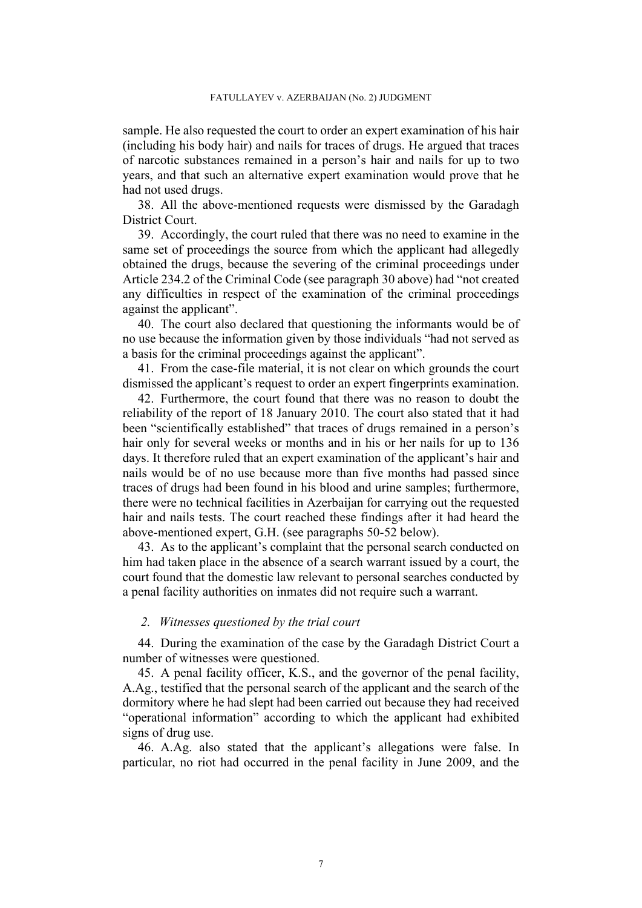sample. He also requested the court to order an expert examination of his hair (including his body hair) and nails for traces of drugs. He argued that traces of narcotic substances remained in a person's hair and nails for up to two years, and that such an alternative expert examination would prove that he had not used drugs.

38. All the above-mentioned requests were dismissed by the Garadagh District Court.

<span id="page-8-3"></span>39. Accordingly, the court ruled that there was no need to examine in the same set of proceedings the source from which the applicant had allegedly obtained the drugs, because the severing of the criminal proceedings under Article 234.2 of the Criminal Code (see paragraph [30](#page-6-1) above) had "not created any difficulties in respect of the examination of the criminal proceedings against the applicant".

<span id="page-8-4"></span>40. The court also declared that questioning the informants would be of no use because the information given by those individuals "had not served as a basis for the criminal proceedings against the applicant".

41. From the case-file material, it is not clear on which grounds the court dismissed the applicant's request to order an expert fingerprints examination.

<span id="page-8-5"></span>42. Furthermore, the court found that there was no reason to doubt the reliability of the report of 18 January 2010. The court also stated that it had been "scientifically established" that traces of drugs remained in a person's hair only for several weeks or months and in his or her nails for up to 136 days. It therefore ruled that an expert examination of the applicant's hair and nails would be of no use because more than five months had passed since traces of drugs had been found in his blood and urine samples; furthermore, there were no technical facilities in Azerbaijan for carrying out the requested hair and nails tests. The court reached these findings after it had heard the above-mentioned expert, G.H. (see paragraphs [50](#page-9-0)[-52](#page-9-1) below).

<span id="page-8-2"></span>43. As to the applicant's complaint that the personal search conducted on him had taken place in the absence of a search warrant issued by a court, the court found that the domestic law relevant to personal searches conducted by a penal facility authorities on inmates did not require such a warrant.

# *2. Witnesses questioned by the trial court*

44. During the examination of the case by the Garadagh District Court a number of witnesses were questioned.

<span id="page-8-1"></span>45. A penal facility officer, K.S., and the governor of the penal facility, A.Ag., testified that the personal search of the applicant and the search of the dormitory where he had slept had been carried out because they had received "operational information" according to which the applicant had exhibited signs of drug use.

<span id="page-8-0"></span>46. A.Ag. also stated that the applicant's allegations were false. In particular, no riot had occurred in the penal facility in June 2009, and the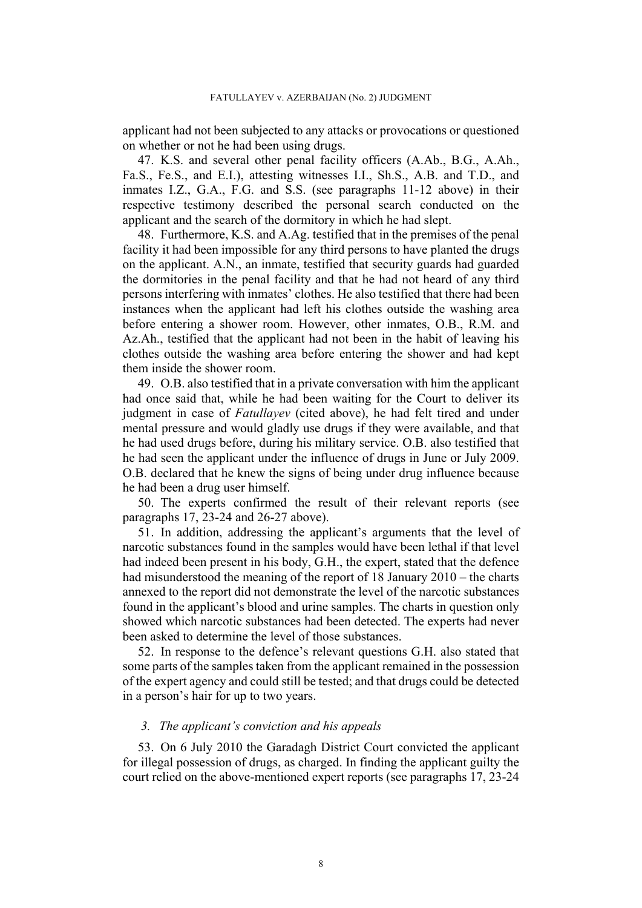applicant had not been subjected to any attacks or provocations or questioned on whether or not he had been using drugs.

<span id="page-9-2"></span>47. K.S. and several other penal facility officers (A.Ab., B.G., A.Ah., Fa.S., Fe.S., and E.I.), attesting witnesses I.I., Sh.S., A.B. and T.D., and inmates I.Z., G.A., F.G. and S.S. (see paragraphs [11-](#page-4-0)[12](#page-4-1) above) in their respective testimony described the personal search conducted on the applicant and the search of the dormitory in which he had slept.

<span id="page-9-3"></span>48. Furthermore, K.S. and A.Ag. testified that in the premises of the penal facility it had been impossible for any third persons to have planted the drugs on the applicant. A.N., an inmate, testified that security guards had guarded the dormitories in the penal facility and that he had not heard of any third persons interfering with inmates' clothes. He also testified that there had been instances when the applicant had left his clothes outside the washing area before entering a shower room. However, other inmates, O.B., R.M. and Az.Ah., testified that the applicant had not been in the habit of leaving his clothes outside the washing area before entering the shower and had kept them inside the shower room.

<span id="page-9-4"></span>49. O.B. also testified that in a private conversation with him the applicant had once said that, while he had been waiting for the Court to deliver its judgment in case of *Fatullayev* (cited above), he had felt tired and under mental pressure and would gladly use drugs if they were available, and that he had used drugs before, during his military service. O.B. also testified that he had seen the applicant under the influence of drugs in June or July 2009. O.B. declared that he knew the signs of being under drug influence because he had been a drug user himself.

<span id="page-9-0"></span>50. The experts confirmed the result of their relevant reports (see paragraphs [17](#page-4-2), [23](#page-5-1)[-24](#page-5-2) and [26-](#page-6-2)[27](#page-6-0) above).

51. In addition, addressing the applicant's arguments that the level of narcotic substances found in the samples would have been lethal if that level had indeed been present in his body, G.H., the expert, stated that the defence had misunderstood the meaning of the report of 18 January 2010 – the charts annexed to the report did not demonstrate the level of the narcotic substances found in the applicant's blood and urine samples. The charts in question only showed which narcotic substances had been detected. The experts had never been asked to determine the level of those substances.

<span id="page-9-1"></span>52. In response to the defence's relevant questions G.H. also stated that some parts of the samples taken from the applicant remained in the possession of the expert agency and could still be tested; and that drugs could be detected in a person's hair for up to two years.

# *3. The applicant's conviction and his appeals*

53. On 6 July 2010 the Garadagh District Court convicted the applicant for illegal possession of drugs, as charged. In finding the applicant guilty the court relied on the above-mentioned expert reports (see paragraphs [17,](#page-4-2) [23-](#page-5-1)[24](#page-5-2)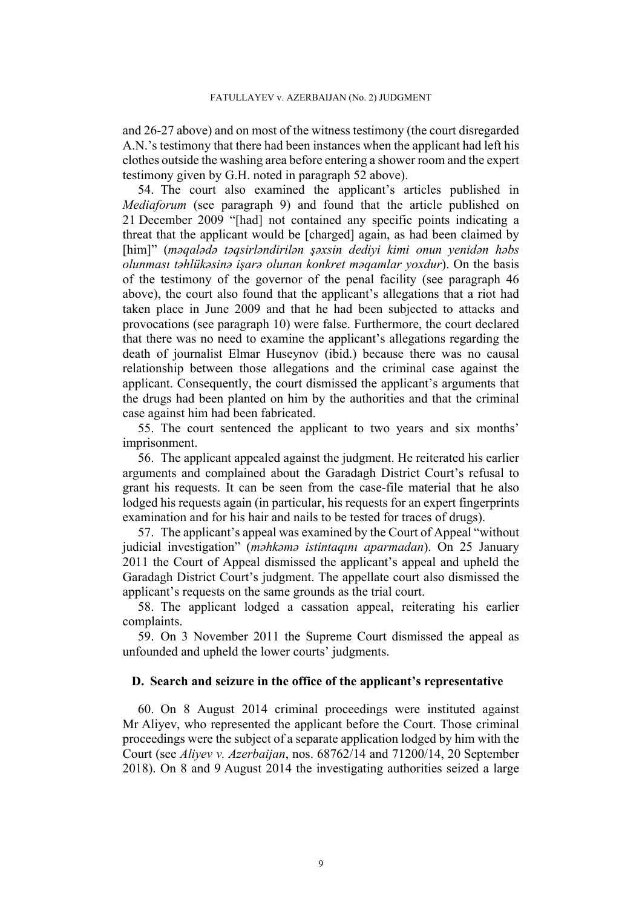and [26-](#page-6-2)[27](#page-6-0) above) and on most of the witness testimony (the court disregarded A.N.'s testimony that there had been instances when the applicant had left his clothes outside the washing area before entering a shower room and the expert testimony given by G.H. noted in paragraph [52](#page-9-1) above).

54. The court also examined the applicant's articles published in *Mediaforum* (see paragraph [9\)](#page-3-1) and found that the article published on 21 December 2009 "[had] not contained any specific points indicating a threat that the applicant would be [charged] again, as had been claimed by [him]" (*məqalədə təqsirləndirilən şəxsin dediyi kimi onun yenidən həbs olunması təhlükəsinə işarə olunan konkret məqamlar yoxdur*). On the basis of the testimony of the governor of the penal facility (see paragraph [46](#page-8-0)  above), the court also found that the applicant's allegations that a riot had taken place in June 2009 and that he had been subjected to attacks and provocations (see paragraph [10](#page-3-2)) were false. Furthermore, the court declared that there was no need to examine the applicant's allegations regarding the death of journalist Elmar Huseynov (ibid.) because there was no causal relationship between those allegations and the criminal case against the applicant. Consequently, the court dismissed the applicant's arguments that the drugs had been planted on him by the authorities and that the criminal case against him had been fabricated.

55. The court sentenced the applicant to two years and six months' imprisonment.

56. The applicant appealed against the judgment. He reiterated his earlier arguments and complained about the Garadagh District Court's refusal to grant his requests. It can be seen from the case-file material that he also lodged his requests again (in particular, his requests for an expert fingerprints examination and for his hair and nails to be tested for traces of drugs).

57. The applicant's appeal was examined by the Court of Appeal "without judicial investigation" (*məhkəmə istintaqını aparmadan*). On 25 January 2011 the Court of Appeal dismissed the applicant's appeal and upheld the Garadagh District Court's judgment. The appellate court also dismissed the applicant's requests on the same grounds as the trial court.

58. The applicant lodged a cassation appeal, reiterating his earlier complaints.

59. On 3 November 2011 the Supreme Court dismissed the appeal as unfounded and upheld the lower courts' judgments.

## **D. Search and seizure in the office of the applicant's representative**

60. On 8 August 2014 criminal proceedings were instituted against Mr Aliyev, who represented the applicant before the Court. Those criminal proceedings were the subject of a separate application lodged by him with the Court (see *Aliyev v. Azerbaijan*, nos. 68762/14 and 71200/14, 20 September 2018). On 8 and 9 August 2014 the investigating authorities seized a large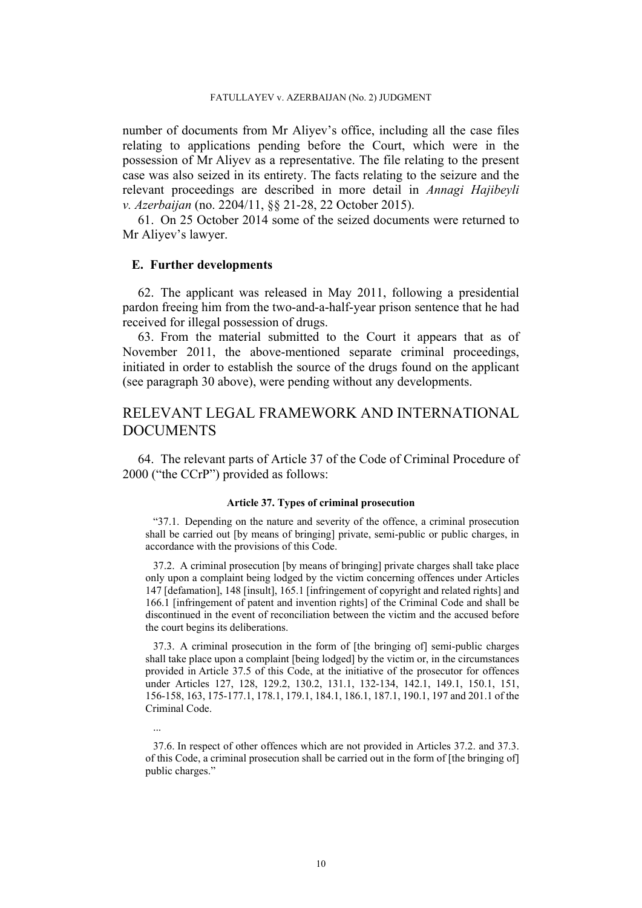number of documents from Mr Aliyev's office, including all the case files relating to applications pending before the Court, which were in the possession of Mr Aliyev as a representative. The file relating to the present case was also seized in its entirety. The facts relating to the seizure and the relevant proceedings are described in more detail in *Annagi Hajibeyli v. Azerbaijan* (no. 2204/11, §§ 21-28, 22 October 2015).

61. On 25 October 2014 some of the seized documents were returned to Mr Aliyev's lawyer.

### **E. Further developments**

62. The applicant was released in May 2011, following a presidential pardon freeing him from the two-and-a-half-year prison sentence that he had received for illegal possession of drugs.

63. From the material submitted to the Court it appears that as of November 2011, the above-mentioned separate criminal proceedings, initiated in order to establish the source of the drugs found on the applicant (see paragraph [30](#page-6-1) above), were pending without any developments.

# RELEVANT LEGAL FRAMEWORK AND INTERNATIONAL **DOCUMENTS**

<span id="page-11-0"></span>64. The relevant parts of Article 37 of the Code of Criminal Procedure of 2000 ("the CCrP") provided as follows:

#### **Article 37. Types of criminal prosecution**

"37.1. Depending on the nature and severity of the offence, a criminal prosecution shall be carried out [by means of bringing] private, semi-public or public charges, in accordance with the provisions of this Code.

37.2. A criminal prosecution [by means of bringing] private charges shall take place only upon a complaint being lodged by the victim concerning offences under Articles 147 [defamation], 148 [insult], 165.1 [infringement of copyright and related rights] and 166.1 [infringement of patent and invention rights] of the Criminal Code and shall be discontinued in the event of reconciliation between the victim and the accused before the court begins its deliberations.

37.3. A criminal prosecution in the form of [the bringing of] semi-public charges shall take place upon a complaint [being lodged] by the victim or, in the circumstances provided in Article 37.5 of this Code, at the initiative of the prosecutor for offences under Articles 127, 128, 129.2, 130.2, 131.1, 132-134, 142.1, 149.1, 150.1, 151, 156-158, 163, 175-177.1, 178.1, 179.1, 184.1, 186.1, 187.1, 190.1, 197 and 201.1 of the Criminal Code.

...

37.6. In respect of other offences which are not provided in Articles 37.2. and 37.3. of this Code, a criminal prosecution shall be carried out in the form of [the bringing of] public charges."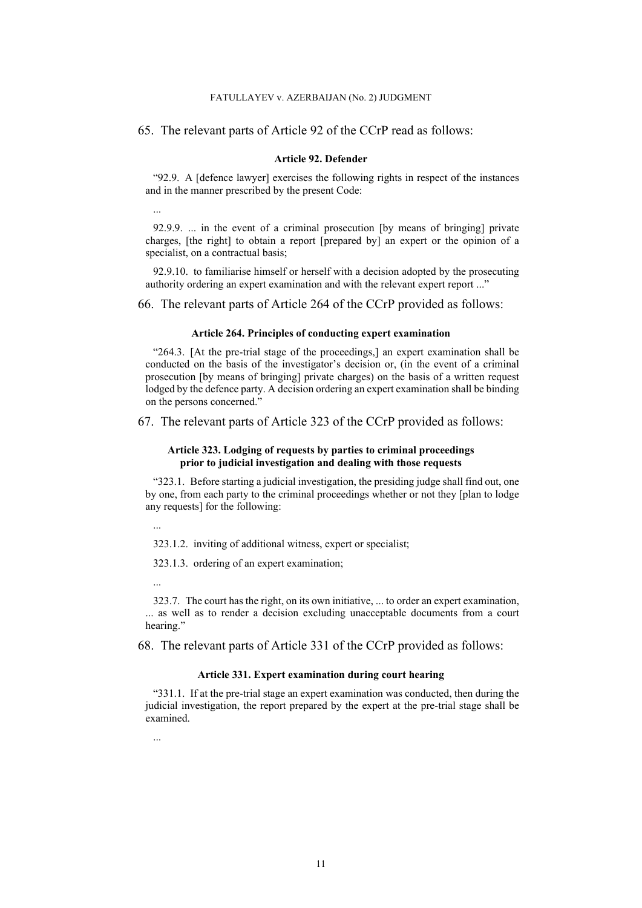#### FATULLAYEV v. AZERBAIJAN (No. 2) JUDGMENT

#### 65. The relevant parts of Article 92 of the CCrP read as follows:

#### **Article 92. Defender**

"92.9. A [defence lawyer] exercises the following rights in respect of the instances and in the manner prescribed by the present Code:

...

92.9.9. ... in the event of a criminal prosecution [by means of bringing] private charges, [the right] to obtain a report [prepared by] an expert or the opinion of a specialist, on a contractual basis;

92.9.10. to familiarise himself or herself with a decision adopted by the prosecuting authority ordering an expert examination and with the relevant expert report ..."

<span id="page-12-0"></span>66. The relevant parts of Article 264 of the CCrP provided as follows:

#### **Article 264. Principles of conducting expert examination**

"264.3. [At the pre-trial stage of the proceedings,] an expert examination shall be conducted on the basis of the investigator's decision or, (in the event of a criminal prosecution [by means of bringing] private charges) on the basis of a written request lodged by the defence party. A decision ordering an expert examination shall be binding on the persons concerned."

<span id="page-12-1"></span>67. The relevant parts of Article 323 of the CCrP provided as follows:

#### **Article 323. Lodging of requests by parties to criminal proceedings prior to judicial investigation and dealing with those requests**

"323.1. Before starting a judicial investigation, the presiding judge shall find out, one by one, from each party to the criminal proceedings whether or not they [plan to lodge any requests] for the following:

323.1.2. inviting of additional witness, expert or specialist;

323.1.3. ordering of an expert examination;

323.7. The court has the right, on its own initiative, ... to order an expert examination, ... as well as to render a decision excluding unacceptable documents from a court hearing."

<span id="page-12-2"></span>68. The relevant parts of Article 331 of the CCrP provided as follows:

#### **Article 331. Expert examination during court hearing**

"331.1. If at the pre-trial stage an expert examination was conducted, then during the judicial investigation, the report prepared by the expert at the pre-trial stage shall be examined.

...

...

...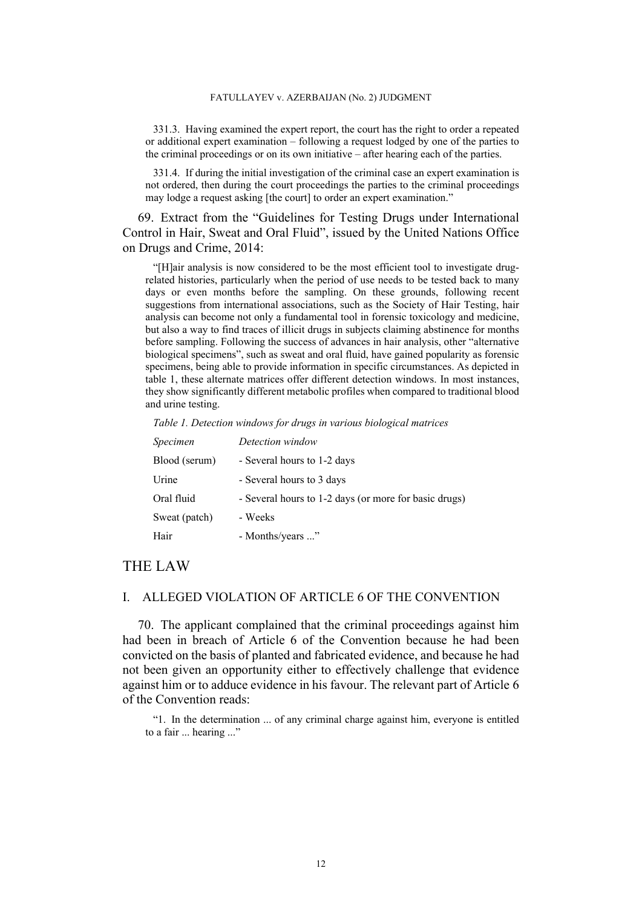331.3. Having examined the expert report, the court has the right to order a repeated or additional expert examination – following a request lodged by one of the parties to the criminal proceedings or on its own initiative – after hearing each of the parties.

331.4. If during the initial investigation of the criminal case an expert examination is not ordered, then during the court proceedings the parties to the criminal proceedings may lodge a request asking [the court] to order an expert examination."

<span id="page-13-0"></span>69. Extract from the "Guidelines for Testing Drugs under International Control in Hair, Sweat and Oral Fluid", issued by the United Nations Office on Drugs and Crime, 2014:

"[H]air analysis is now considered to be the most efficient tool to investigate drugrelated histories, particularly when the period of use needs to be tested back to many days or even months before the sampling. On these grounds, following recent suggestions from international associations, such as the Society of Hair Testing, hair analysis can become not only a fundamental tool in forensic toxicology and medicine, but also a way to find traces of illicit drugs in subjects claiming abstinence for months before sampling. Following the success of advances in hair analysis, other "alternative biological specimens", such as sweat and oral fluid, have gained popularity as forensic specimens, being able to provide information in specific circumstances. As depicted in table 1, these alternate matrices offer different detection windows. In most instances, they show significantly different metabolic profiles when compared to traditional blood and urine testing.

*Table 1. Detection windows for drugs in various biological matrices*

| Specimen      | Detection window                                      |
|---------------|-------------------------------------------------------|
| Blood (serum) | - Several hours to 1-2 days                           |
| Urine         | - Several hours to 3 days                             |
| Oral fluid    | - Several hours to 1-2 days (or more for basic drugs) |
| Sweat (patch) | - Weeks                                               |
| Hair          | - Months/years "                                      |

# THE LAW

# I. ALLEGED VIOLATION OF ARTICLE 6 OF THE CONVENTION

70. The applicant complained that the criminal proceedings against him had been in breach of Article 6 of the Convention because he had been convicted on the basis of planted and fabricated evidence, and because he had not been given an opportunity either to effectively challenge that evidence against him or to adduce evidence in his favour. The relevant part of Article 6 of the Convention reads:

"1. In the determination ... of any criminal charge against him, everyone is entitled to a fair ... hearing ..."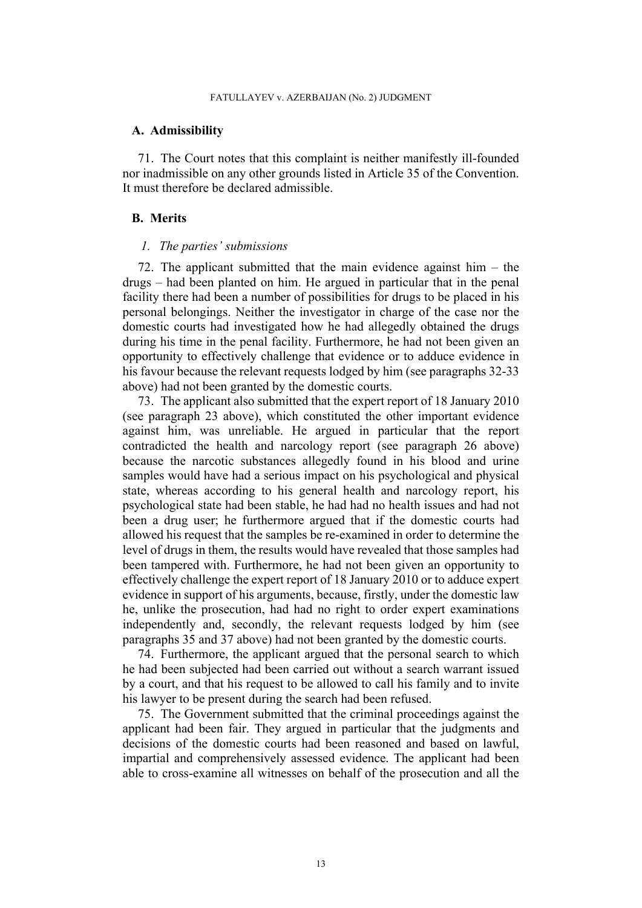#### **A. Admissibility**

71. The Court notes that this complaint is neither manifestly ill-founded nor inadmissible on any other grounds listed in Article 35 of the Convention. It must therefore be declared admissible.

# **B. Merits**

#### *1. The parties' submissions*

<span id="page-14-0"></span>72. The applicant submitted that the main evidence against him – the drugs – had been planted on him. He argued in particular that in the penal facility there had been a number of possibilities for drugs to be placed in his personal belongings. Neither the investigator in charge of the case nor the domestic courts had investigated how he had allegedly obtained the drugs during his time in the penal facility. Furthermore, he had not been given an opportunity to effectively challenge that evidence or to adduce evidence in his favour because the relevant requests lodged by him (see paragraphs [32-](#page-7-0)[33](#page-7-1)  above) had not been granted by the domestic courts.

<span id="page-14-1"></span>73. The applicant also submitted that the expert report of 18 January 2010 (see paragraph [23](#page-5-1) above), which constituted the other important evidence against him, was unreliable. He argued in particular that the report contradicted the health and narcology report (see paragraph [26](#page-6-2) above) because the narcotic substances allegedly found in his blood and urine samples would have had a serious impact on his psychological and physical state, whereas according to his general health and narcology report, his psychological state had been stable, he had had no health issues and had not been a drug user; he furthermore argued that if the domestic courts had allowed his request that the samples be re-examined in order to determine the level of drugs in them, the results would have revealed that those samples had been tampered with. Furthermore, he had not been given an opportunity to effectively challenge the expert report of 18 January 2010 or to adduce expert evidence in support of his arguments, because, firstly, under the domestic law he, unlike the prosecution, had had no right to order expert examinations independently and, secondly, the relevant requests lodged by him (see paragraphs [35](#page-7-2) and [37](#page-7-3) above) had not been granted by the domestic courts.

74. Furthermore, the applicant argued that the personal search to which he had been subjected had been carried out without a search warrant issued by a court, and that his request to be allowed to call his family and to invite his lawyer to be present during the search had been refused.

75. The Government submitted that the criminal proceedings against the applicant had been fair. They argued in particular that the judgments and decisions of the domestic courts had been reasoned and based on lawful, impartial and comprehensively assessed evidence. The applicant had been able to cross-examine all witnesses on behalf of the prosecution and all the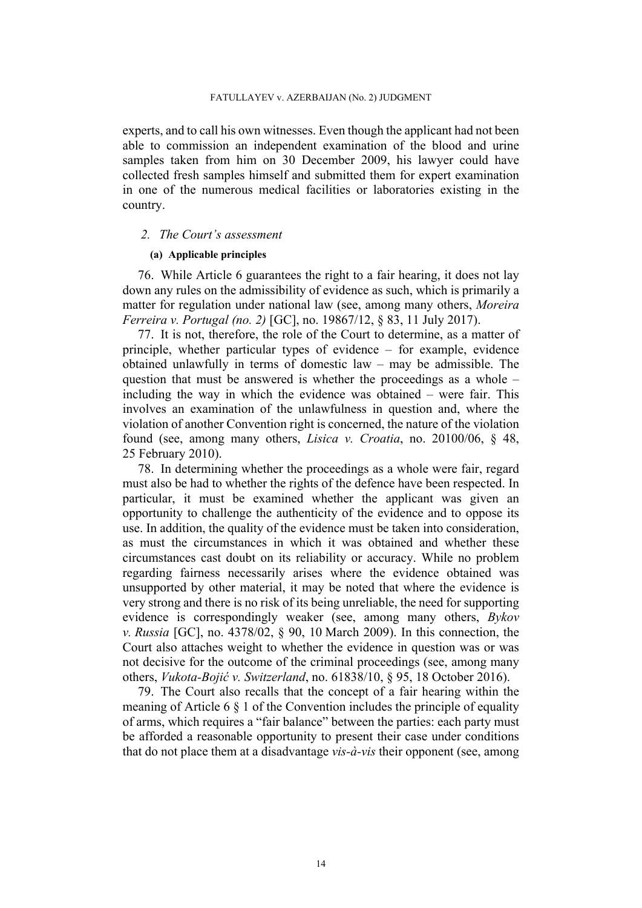experts, and to call his own witnesses. Even though the applicant had not been able to commission an independent examination of the blood and urine samples taken from him on 30 December 2009, his lawyer could have collected fresh samples himself and submitted them for expert examination in one of the numerous medical facilities or laboratories existing in the country.

### *2. The Court's assessment*

## **(a) Applicable principles**

76. While Article 6 guarantees the right to a fair hearing, it does not lay down any rules on the admissibility of evidence as such, which is primarily a matter for regulation under national law (see, among many others, *Moreira Ferreira v. Portugal (no. 2)* [GC], no. 19867/12, § 83, 11 July 2017).

77. It is not, therefore, the role of the Court to determine, as a matter of principle, whether particular types of evidence – for example, evidence obtained unlawfully in terms of domestic law – may be admissible. The question that must be answered is whether the proceedings as a whole – including the way in which the evidence was obtained – were fair. This involves an examination of the unlawfulness in question and, where the violation of another Convention right is concerned, the nature of the violation found (see, among many others, *Lisica v. Croatia*, no. 20100/06, § 48, 25 February 2010).

78. In determining whether the proceedings as a whole were fair, regard must also be had to whether the rights of the defence have been respected. In particular, it must be examined whether the applicant was given an opportunity to challenge the authenticity of the evidence and to oppose its use. In addition, the quality of the evidence must be taken into consideration, as must the circumstances in which it was obtained and whether these circumstances cast doubt on its reliability or accuracy. While no problem regarding fairness necessarily arises where the evidence obtained was unsupported by other material, it may be noted that where the evidence is very strong and there is no risk of its being unreliable, the need for supporting evidence is correspondingly weaker (see, among many others, *Bykov v. Russia* [GC], no. 4378/02, § 90, 10 March 2009). In this connection, the Court also attaches weight to whether the evidence in question was or was not decisive for the outcome of the criminal proceedings (see, among many others, *Vukota-Bojić v. Switzerland*, no. 61838/10, § 95, 18 October 2016).

79. The Court also recalls that the concept of a fair hearing within the meaning of Article 6  $\S$  1 of the Convention includes the principle of equality of arms, which requires a "fair balance" between the parties: each party must be afforded a reasonable opportunity to present their case under conditions that do not place them at a disadvantage *vis-à-vis* their opponent (see, among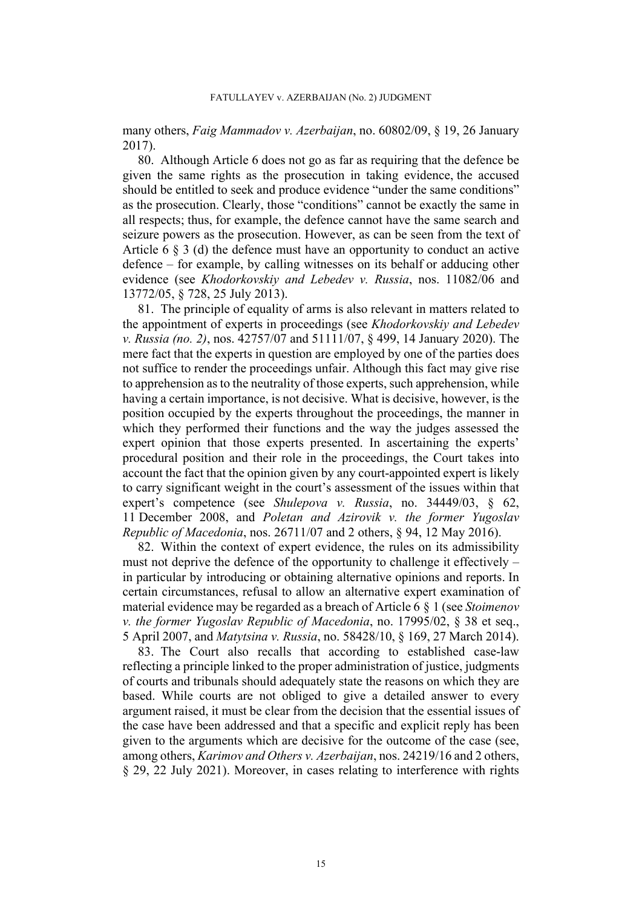many others, *Faig Mammadov v. Azerbaijan*, no. 60802/09, § 19, 26 January 2017).

80. Although Article 6 does not go as far as requiring that the defence be given the same rights as the prosecution in taking evidence, the accused should be entitled to seek and produce evidence "under the same conditions" as the prosecution. Clearly, those "conditions" cannot be exactly the same in all respects; thus, for example, the defence cannot have the same search and seizure powers as the prosecution. However, as can be seen from the text of Article 6 § 3 (d) the defence must have an opportunity to conduct an active defence – for example, by calling witnesses on its behalf or adducing other evidence (see *Khodorkovskiy and Lebedev v. Russia*, nos. 11082/06 and 13772/05, § 728, 25 July 2013).

81. The principle of equality of arms is also relevant in matters related to the appointment of experts in proceedings (see *Khodorkovskiy and Lebedev v. Russia (no. 2)*, nos. 42757/07 and 51111/07, § 499, 14 January 2020). The mere fact that the experts in question are employed by one of the parties does not suffice to render the proceedings unfair. Although this fact may give rise to apprehension as to the neutrality of those experts, such apprehension, while having a certain importance, is not decisive. What is decisive, however, is the position occupied by the experts throughout the proceedings, the manner in which they performed their functions and the way the judges assessed the expert opinion that those experts presented. In ascertaining the experts' procedural position and their role in the proceedings, the Court takes into account the fact that the opinion given by any court-appointed expert is likely to carry significant weight in the court's assessment of the issues within that expert's competence (see *Shulepova v. Russia*, no. 34449/03, § 62, 11 December 2008, and *Poletan and Azirovik v. the former Yugoslav Republic of Macedonia*, nos. 26711/07 and 2 others, § 94, 12 May 2016).

82. Within the context of expert evidence, the rules on its admissibility must not deprive the defence of the opportunity to challenge it effectively – in particular by introducing or obtaining alternative opinions and reports. In certain circumstances, refusal to allow an alternative expert examination of material evidence may be regarded as a breach of Article 6 § 1 (see *Stoimenov v. the former Yugoslav Republic of Macedonia*, no. 17995/02, § 38 et seq., 5 April 2007, and *Matytsina v. Russia*, no. 58428/10, § 169, 27 March 2014).

83. The Court also recalls that according to established case-law reflecting a principle linked to the proper administration of justice, judgments of courts and tribunals should adequately state the reasons on which they are based. While courts are not obliged to give a detailed answer to every argument raised, it must be clear from the decision that the essential issues of the case have been addressed and that a specific and explicit reply has been given to the arguments which are decisive for the outcome of the case (see, among others, *Karimov and Others v. Azerbaijan*, nos. 24219/16 and 2 others, § 29, 22 July 2021). Moreover, in cases relating to interference with rights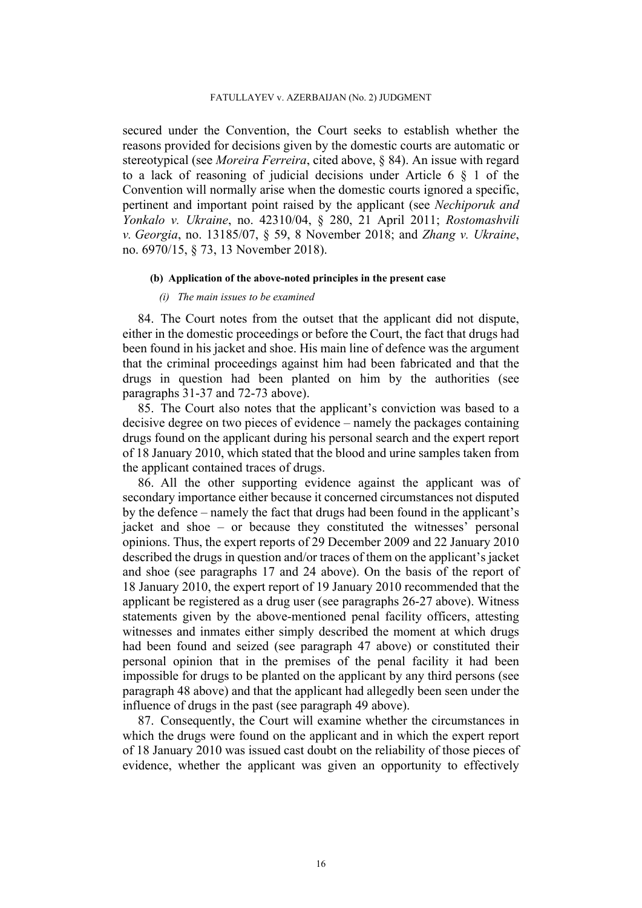secured under the Convention, the Court seeks to establish whether the reasons provided for decisions given by the domestic courts are automatic or stereotypical (see *Moreira Ferreira*, cited above, § 84). An issue with regard to a lack of reasoning of judicial decisions under Article 6 § 1 of the Convention will normally arise when the domestic courts ignored a specific, pertinent and important point raised by the applicant (see *Nechiporuk and Yonkalo v. Ukraine*, no. 42310/04, § 280, 21 April 2011; *Rostomashvili v. Georgia*, no. 13185/07, § 59, 8 November 2018; and *Zhang v. Ukraine*, no. 6970/15, § 73, 13 November 2018).

### **(b) Application of the above-noted principles in the present case**

#### *(i) The main issues to be examined*

<span id="page-17-0"></span>84. The Court notes from the outset that the applicant did not dispute, either in the domestic proceedings or before the Court, the fact that drugs had been found in his jacket and shoe. His main line of defence was the argument that the criminal proceedings against him had been fabricated and that the drugs in question had been planted on him by the authorities (see paragraphs [31](#page-6-3)[-37](#page-7-3) and [72-](#page-14-0)[73](#page-14-1) above).

85. The Court also notes that the applicant's conviction was based to a decisive degree on two pieces of evidence – namely the packages containing drugs found on the applicant during his personal search and the expert report of 18 January 2010, which stated that the blood and urine samples taken from the applicant contained traces of drugs.

86. All the other supporting evidence against the applicant was of secondary importance either because it concerned circumstances not disputed by the defence – namely the fact that drugs had been found in the applicant's jacket and shoe – or because they constituted the witnesses' personal opinions. Thus, the expert reports of 29 December 2009 and 22 January 2010 described the drugs in question and/or traces of them on the applicant's jacket and shoe (see paragraphs [17](#page-4-2) and [24](#page-5-2) above). On the basis of the report of 18 January 2010, the expert report of 19 January 2010 recommended that the applicant be registered as a drug user (see paragraphs [26](#page-6-2)[-27](#page-6-0) above). Witness statements given by the above-mentioned penal facility officers, attesting witnesses and inmates either simply described the moment at which drugs had been found and seized (see paragraph [47](#page-9-2) above) or constituted their personal opinion that in the premises of the penal facility it had been impossible for drugs to be planted on the applicant by any third persons (see paragraph [48](#page-9-3) above) and that the applicant had allegedly been seen under the influence of drugs in the past (see paragraph [49](#page-9-4) above).

87. Consequently, the Court will examine whether the circumstances in which the drugs were found on the applicant and in which the expert report of 18 January 2010 was issued cast doubt on the reliability of those pieces of evidence, whether the applicant was given an opportunity to effectively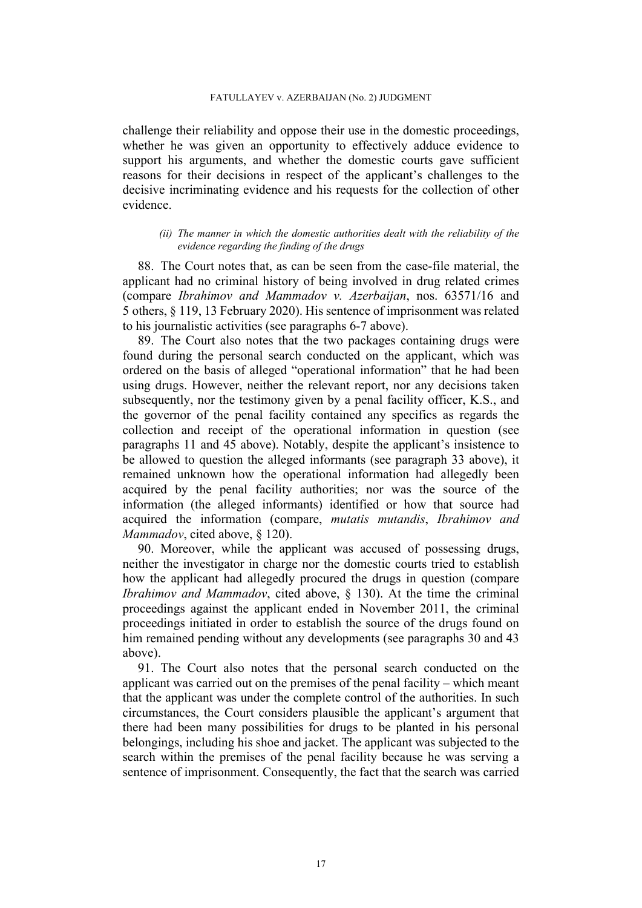#### FATULLAYEV v. AZERBAIJAN (No. 2) JUDGMENT

challenge their reliability and oppose their use in the domestic proceedings, whether he was given an opportunity to effectively adduce evidence to support his arguments, and whether the domestic courts gave sufficient reasons for their decisions in respect of the applicant's challenges to the decisive incriminating evidence and his requests for the collection of other evidence.

### *(ii) The manner in which the domestic authorities dealt with the reliability of the evidence regarding the finding of the drugs*

88. The Court notes that, as can be seen from the case-file material, the applicant had no criminal history of being involved in drug related crimes (compare *Ibrahimov and Mammadov v. Azerbaijan*, nos. 63571/16 and 5 others, § 119, 13 February 2020). His sentence of imprisonment was related to his journalistic activities (see paragraphs [6](#page-3-0)[-7](#page-3-3) above).

89. The Court also notes that the two packages containing drugs were found during the personal search conducted on the applicant, which was ordered on the basis of alleged "operational information" that he had been using drugs. However, neither the relevant report, nor any decisions taken subsequently, nor the testimony given by a penal facility officer, K.S., and the governor of the penal facility contained any specifics as regards the collection and receipt of the operational information in question (see paragraphs [11](#page-4-0) and [45](#page-8-1) above). Notably, despite the applicant's insistence to be allowed to question the alleged informants (see paragraph [33](#page-7-1) above), it remained unknown how the operational information had allegedly been acquired by the penal facility authorities; nor was the source of the information (the alleged informants) identified or how that source had acquired the information (compare, *mutatis mutandis*, *Ibrahimov and Mammadov*, cited above, § 120).

90. Moreover, while the applicant was accused of possessing drugs, neither the investigator in charge nor the domestic courts tried to establish how the applicant had allegedly procured the drugs in question (compare *Ibrahimov and Mammadov*, cited above, § 130). At the time the criminal proceedings against the applicant ended in November 2011, the criminal proceedings initiated in order to establish the source of the drugs found on him remained pending without any developments (see paragraphs [30](#page-6-1) and [43](#page-8-2)  above).

91. The Court also notes that the personal search conducted on the applicant was carried out on the premises of the penal facility – which meant that the applicant was under the complete control of the authorities. In such circumstances, the Court considers plausible the applicant's argument that there had been many possibilities for drugs to be planted in his personal belongings, including his shoe and jacket. The applicant was subjected to the search within the premises of the penal facility because he was serving a sentence of imprisonment. Consequently, the fact that the search was carried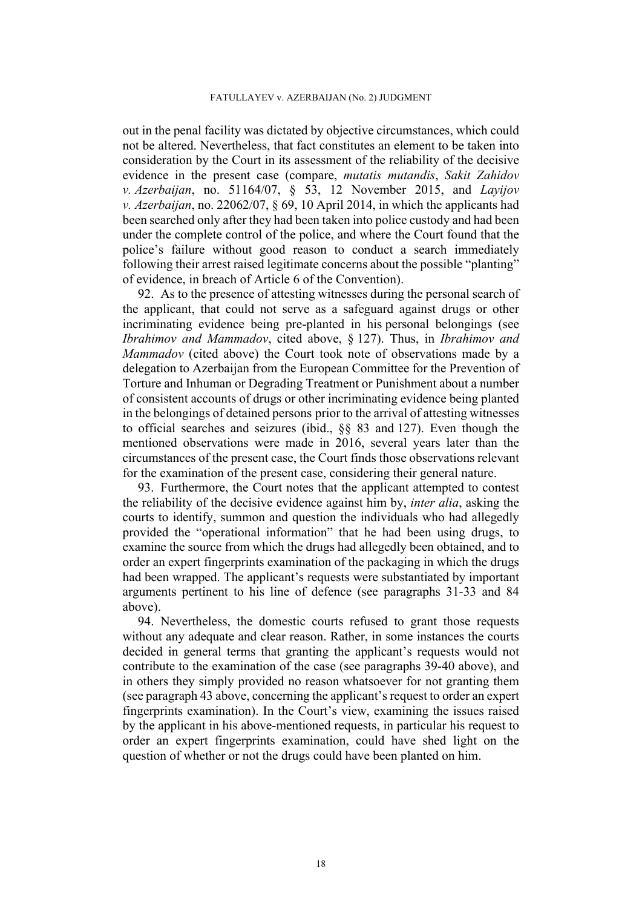out in the penal facility was dictated by objective circumstances, which could not be altered. Nevertheless, that fact constitutes an element to be taken into consideration by the Court in its assessment of the reliability of the decisive evidence in the present case (compare, *mutatis mutandis*, *Sakit Zahidov v. Azerbaijan*, no. 51164/07, § 53, 12 November 2015, and *Layijov v. Azerbaijan*, no. 22062/07, § 69, 10 April 2014, in which the applicants had been searched only after they had been taken into police custody and had been under the complete control of the police, and where the Court found that the police's failure without good reason to conduct a search immediately following their arrest raised legitimate concerns about the possible "planting" of evidence, in breach of Article 6 of the Convention).

92. As to the presence of attesting witnesses during the personal search of the applicant, that could not serve as a safeguard against drugs or other incriminating evidence being pre-planted in his personal belongings (see *Ibrahimov and Mammadov*, cited above, § 127). Thus, in *Ibrahimov and Mammadov* (cited above) the Court took note of observations made by a delegation to Azerbaijan from the European Committee for the Prevention of Torture and Inhuman or Degrading Treatment or Punishment about a number of consistent accounts of drugs or other incriminating evidence being planted in the belongings of detained persons prior to the arrival of attesting witnesses to official searches and seizures (ibid., §§ 83 and 127). Even though the mentioned observations were made in 2016, several years later than the circumstances of the present case, the Court finds those observations relevant for the examination of the present case, considering their general nature.

93. Furthermore, the Court notes that the applicant attempted to contest the reliability of the decisive evidence against him by, *inter alia*, asking the courts to identify, summon and question the individuals who had allegedly provided the "operational information" that he had been using drugs, to examine the source from which the drugs had allegedly been obtained, and to order an expert fingerprints examination of the packaging in which the drugs had been wrapped. The applicant's requests were substantiated by important arguments pertinent to his line of defence (see paragraphs [31-](#page-6-3)[33](#page-7-1) and [84](#page-17-0)  above).

94. Nevertheless, the domestic courts refused to grant those requests without any adequate and clear reason. Rather, in some instances the courts decided in general terms that granting the applicant's requests would not contribute to the examination of the case (see paragraphs [39-](#page-8-3)[40](#page-8-4) above), and in others they simply provided no reason whatsoever for not granting them (see paragraph [43](#page-8-2) above, concerning the applicant's request to order an expert fingerprints examination). In the Court's view, examining the issues raised by the applicant in his above-mentioned requests, in particular his request to order an expert fingerprints examination, could have shed light on the question of whether or not the drugs could have been planted on him.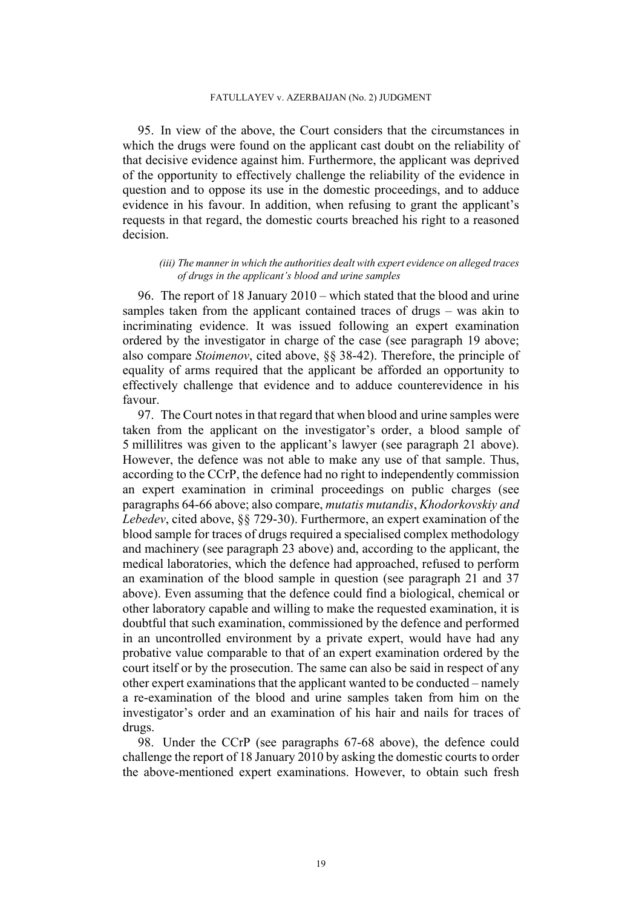95. In view of the above, the Court considers that the circumstances in which the drugs were found on the applicant cast doubt on the reliability of that decisive evidence against him. Furthermore, the applicant was deprived of the opportunity to effectively challenge the reliability of the evidence in question and to oppose its use in the domestic proceedings, and to adduce evidence in his favour. In addition, when refusing to grant the applicant's requests in that regard, the domestic courts breached his right to a reasoned decision.

#### *(iii) The manner in which the authorities dealt with expert evidence on alleged traces of drugs in the applicant's blood and urine samples*

96. The report of 18 January 2010 – which stated that the blood and urine samples taken from the applicant contained traces of drugs – was akin to incriminating evidence. It was issued following an expert examination ordered by the investigator in charge of the case (see paragraph [19](#page-5-3) above; also compare *Stoimenov*, cited above, §§ 38-42). Therefore, the principle of equality of arms required that the applicant be afforded an opportunity to effectively challenge that evidence and to adduce counterevidence in his favour.

97. The Court notes in that regard that when blood and urine samples were taken from the applicant on the investigator's order, a blood sample of 5 millilitres was given to the applicant's lawyer (see paragraph [21](#page-5-4) above). However, the defence was not able to make any use of that sample. Thus, according to the CCrP, the defence had no right to independently commission an expert examination in criminal proceedings on public charges (see paragraphs [64-](#page-11-0)[66](#page-12-0) above; also compare, *mutatis mutandis*, *Khodorkovskiy and Lebedev*, cited above, §§ 729-30). Furthermore, an expert examination of the blood sample for traces of drugs required a specialised complex methodology and machinery (see paragraph [23](#page-5-1) above) and, according to the applicant, the medical laboratories, which the defence had approached, refused to perform an examination of the blood sample in question (see paragraph [21](#page-5-4) and [37](#page-7-3)  above). Even assuming that the defence could find a biological, chemical or other laboratory capable and willing to make the requested examination, it is doubtful that such examination, commissioned by the defence and performed in an uncontrolled environment by a private expert, would have had any probative value comparable to that of an expert examination ordered by the court itself or by the prosecution. The same can also be said in respect of any other expert examinations that the applicant wanted to be conducted – namely a re-examination of the blood and urine samples taken from him on the investigator's order and an examination of his hair and nails for traces of drugs.

98. Under the CCrP (see paragraphs [67](#page-12-1)[-68](#page-12-2) above), the defence could challenge the report of 18 January 2010 by asking the domestic courts to order the above-mentioned expert examinations. However, to obtain such fresh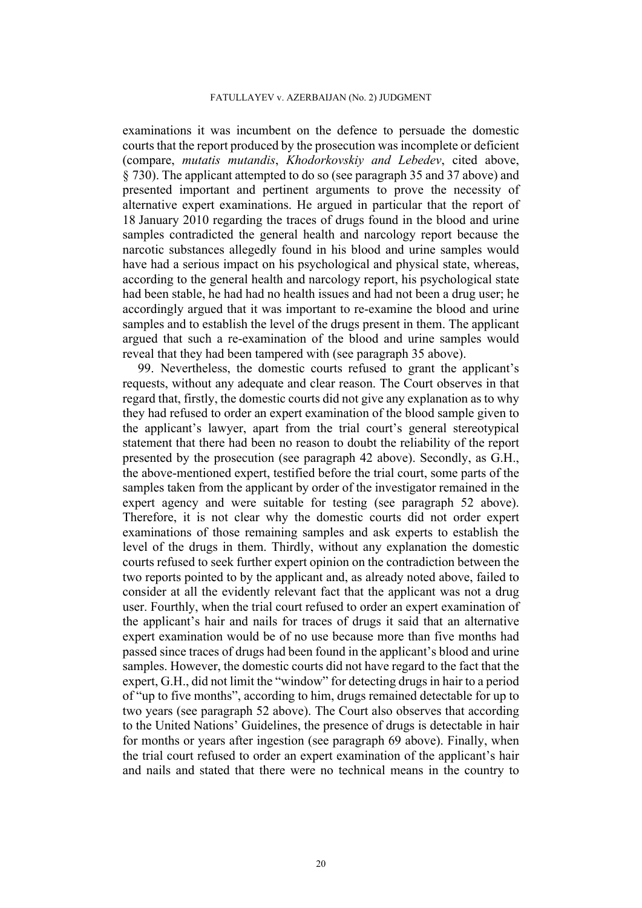examinations it was incumbent on the defence to persuade the domestic courts that the report produced by the prosecution was incomplete or deficient (compare, *mutatis mutandis*, *Khodorkovskiy and Lebedev*, cited above, § 730). The applicant attempted to do so (see paragraph [35](#page-7-2) and [37](#page-7-3) above) and presented important and pertinent arguments to prove the necessity of alternative expert examinations. He argued in particular that the report of 18 January 2010 regarding the traces of drugs found in the blood and urine samples contradicted the general health and narcology report because the narcotic substances allegedly found in his blood and urine samples would have had a serious impact on his psychological and physical state, whereas, according to the general health and narcology report, his psychological state had been stable, he had had no health issues and had not been a drug user; he accordingly argued that it was important to re-examine the blood and urine samples and to establish the level of the drugs present in them. The applicant argued that such a re-examination of the blood and urine samples would reveal that they had been tampered with (see paragraph [35](#page-7-2) above).

99. Nevertheless, the domestic courts refused to grant the applicant's requests, without any adequate and clear reason. The Court observes in that regard that, firstly, the domestic courts did not give any explanation as to why they had refused to order an expert examination of the blood sample given to the applicant's lawyer, apart from the trial court's general stereotypical statement that there had been no reason to doubt the reliability of the report presented by the prosecution (see paragraph [42](#page-8-5) above). Secondly, as G.H., the above-mentioned expert, testified before the trial court, some parts of the samples taken from the applicant by order of the investigator remained in the expert agency and were suitable for testing (see paragraph [52](#page-9-1) above). Therefore, it is not clear why the domestic courts did not order expert examinations of those remaining samples and ask experts to establish the level of the drugs in them. Thirdly, without any explanation the domestic courts refused to seek further expert opinion on the contradiction between the two reports pointed to by the applicant and, as already noted above, failed to consider at all the evidently relevant fact that the applicant was not a drug user. Fourthly, when the trial court refused to order an expert examination of the applicant's hair and nails for traces of drugs it said that an alternative expert examination would be of no use because more than five months had passed since traces of drugs had been found in the applicant's blood and urine samples. However, the domestic courts did not have regard to the fact that the expert, G.H., did not limit the "window" for detecting drugs in hair to a period of "up to five months", according to him, drugs remained detectable for up to two years (see paragraph [52](#page-9-1) above). The Court also observes that according to the United Nations' Guidelines, the presence of drugs is detectable in hair for months or years after ingestion (see paragraph [69](#page-13-0) above). Finally, when the trial court refused to order an expert examination of the applicant's hair and nails and stated that there were no technical means in the country to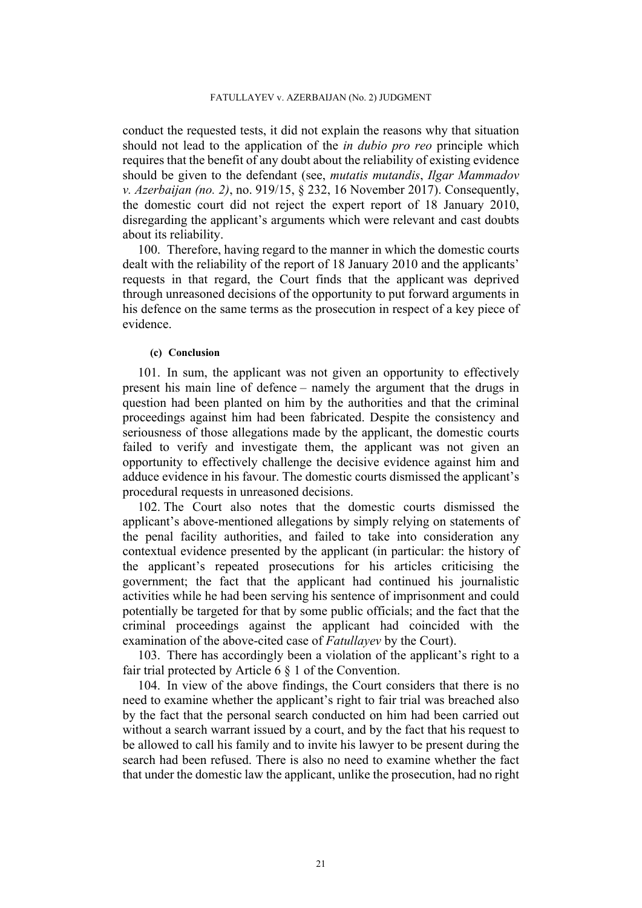conduct the requested tests, it did not explain the reasons why that situation should not lead to the application of the *in dubio pro reo* principle which requires that the benefit of any doubt about the reliability of existing evidence should be given to the defendant (see, *mutatis mutandis*, *Ilgar Mammadov v. Azerbaijan (no. 2)*, no. 919/15, § 232, 16 November 2017). Consequently, the domestic court did not reject the expert report of 18 January 2010, disregarding the applicant's arguments which were relevant and cast doubts about its reliability.

100. Therefore, having regard to the manner in which the domestic courts dealt with the reliability of the report of 18 January 2010 and the applicants' requests in that regard, the Court finds that the applicant was deprived through unreasoned decisions of the opportunity to put forward arguments in his defence on the same terms as the prosecution in respect of a key piece of evidence.

# **(c) Conclusion**

101. In sum, the applicant was not given an opportunity to effectively present his main line of defence – namely the argument that the drugs in question had been planted on him by the authorities and that the criminal proceedings against him had been fabricated. Despite the consistency and seriousness of those allegations made by the applicant, the domestic courts failed to verify and investigate them, the applicant was not given an opportunity to effectively challenge the decisive evidence against him and adduce evidence in his favour. The domestic courts dismissed the applicant's procedural requests in unreasoned decisions.

102. The Court also notes that the domestic courts dismissed the applicant's above-mentioned allegations by simply relying on statements of the penal facility authorities, and failed to take into consideration any contextual evidence presented by the applicant (in particular: the history of the applicant's repeated prosecutions for his articles criticising the government; the fact that the applicant had continued his journalistic activities while he had been serving his sentence of imprisonment and could potentially be targeted for that by some public officials; and the fact that the criminal proceedings against the applicant had coincided with the examination of the above-cited case of *Fatullayev* by the Court).

103. There has accordingly been a violation of the applicant's right to a fair trial protected by Article 6 § 1 of the Convention.

104. In view of the above findings, the Court considers that there is no need to examine whether the applicant's right to fair trial was breached also by the fact that the personal search conducted on him had been carried out without a search warrant issued by a court, and by the fact that his request to be allowed to call his family and to invite his lawyer to be present during the search had been refused. There is also no need to examine whether the fact that under the domestic law the applicant, unlike the prosecution, had no right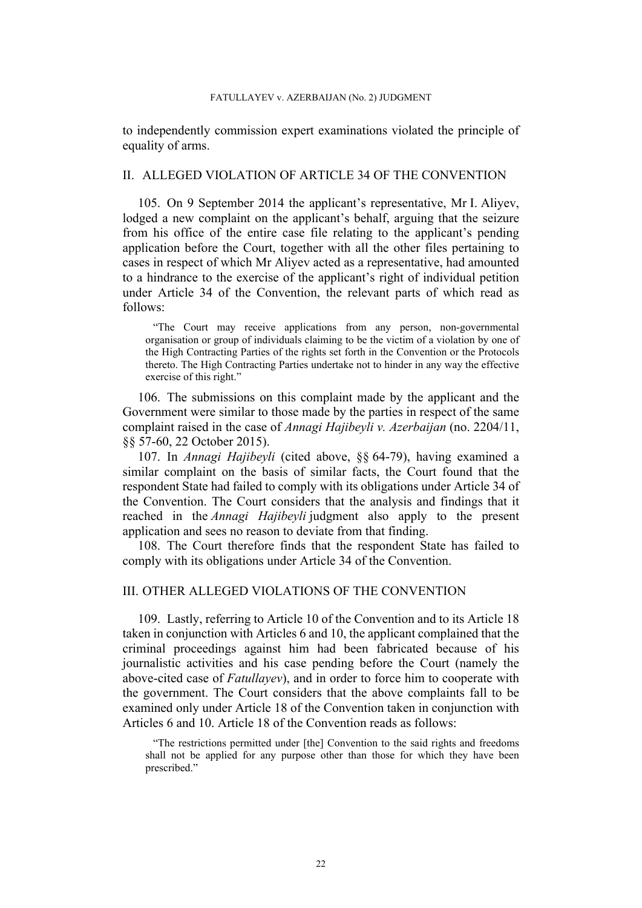to independently commission expert examinations violated the principle of equality of arms.

# II. ALLEGED VIOLATION OF ARTICLE 34 OF THE CONVENTION

105. On 9 September 2014 the applicant's representative, Mr I. Aliyev, lodged a new complaint on the applicant's behalf, arguing that the seizure from his office of the entire case file relating to the applicant's pending application before the Court, together with all the other files pertaining to cases in respect of which Mr Aliyev acted as a representative, had amounted to a hindrance to the exercise of the applicant's right of individual petition under Article 34 of the Convention, the relevant parts of which read as follows:

"The Court may receive applications from any person, non-governmental organisation or group of individuals claiming to be the victim of a violation by one of the High Contracting Parties of the rights set forth in the Convention or the Protocols thereto. The High Contracting Parties undertake not to hinder in any way the effective exercise of this right."

106. The submissions on this complaint made by the applicant and the Government were similar to those made by the parties in respect of the same complaint raised in the case of *Annagi Hajibeyli v. Azerbaijan* (no. 2204/11, §§ 57-60, 22 October 2015).

107. In *Annagi Hajibeyli* (cited above, §§ 64-79), having examined a similar complaint on the basis of similar facts, the Court found that the respondent State had failed to comply with its obligations under Article 34 of the Convention. The Court considers that the analysis and findings that it reached in the *Annagi Hajibeyli* judgment also apply to the present application and sees no reason to deviate from that finding.

108. The Court therefore finds that the respondent State has failed to comply with its obligations under Article 34 of the Convention.

## III. OTHER ALLEGED VIOLATIONS OF THE CONVENTION

109. Lastly, referring to Article 10 of the Convention and to its Article 18 taken in conjunction with Articles 6 and 10, the applicant complained that the criminal proceedings against him had been fabricated because of his journalistic activities and his case pending before the Court (namely the above-cited case of *Fatullayev*), and in order to force him to cooperate with the government. The Court considers that the above complaints fall to be examined only under Article 18 of the Convention taken in conjunction with Articles 6 and 10. Article 18 of the Convention reads as follows:

<sup>&</sup>quot;The restrictions permitted under [the] Convention to the said rights and freedoms shall not be applied for any purpose other than those for which they have been prescribed."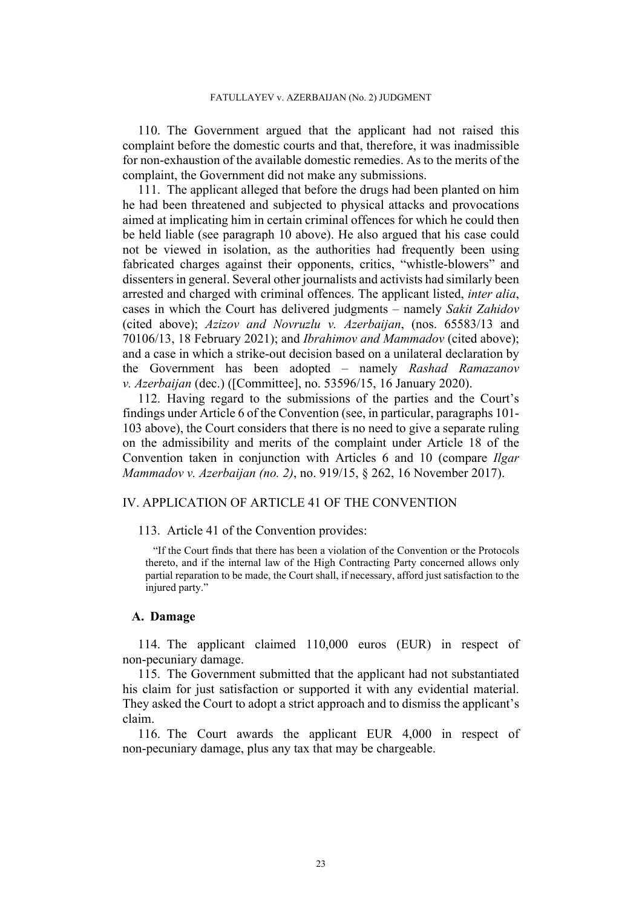110. The Government argued that the applicant had not raised this complaint before the domestic courts and that, therefore, it was inadmissible for non-exhaustion of the available domestic remedies. As to the merits of the complaint, the Government did not make any submissions.

111. The applicant alleged that before the drugs had been planted on him he had been threatened and subjected to physical attacks and provocations aimed at implicating him in certain criminal offences for which he could then be held liable (see paragraph [10](#page-3-2) above). He also argued that his case could not be viewed in isolation, as the authorities had frequently been using fabricated charges against their opponents, critics, "whistle-blowers" and dissenters in general. Several other journalists and activists had similarly been arrested and charged with criminal offences. The applicant listed, *inter alia*, cases in which the Court has delivered judgments – namely *Sakit Zahidov* (cited above); *Azizov and Novruzlu v. Azerbaijan*, (nos. 65583/13 and 70106/13, 18 February 2021); and *Ibrahimov and Mammadov* (cited above); and a case in which a strike-out decision based on a unilateral declaration by the Government has been adopted – namely *Rashad Ramazanov v. Azerbaijan* (dec.) ([Committee], no. 53596/15, 16 January 2020).

112. Having regard to the submissions of the parties and the Court's findings under Article 6 of the Convention (see, in particular, paragraphs 101- 103 above), the Court considers that there is no need to give a separate ruling on the admissibility and merits of the complaint under Article 18 of the Convention taken in conjunction with Articles 6 and 10 (compare *Ilgar Mammadov v. Azerbaijan (no. 2)*, no. 919/15, § 262, 16 November 2017).

# IV. APPLICATION OF ARTICLE 41 OF THE CONVENTION

113. Article 41 of the Convention provides:

"If the Court finds that there has been a violation of the Convention or the Protocols thereto, and if the internal law of the High Contracting Party concerned allows only partial reparation to be made, the Court shall, if necessary, afford just satisfaction to the injured party."

### **A. Damage**

114. The applicant claimed 110,000 euros (EUR) in respect of non-pecuniary damage.

115. The Government submitted that the applicant had not substantiated his claim for just satisfaction or supported it with any evidential material. They asked the Court to adopt a strict approach and to dismiss the applicant's claim.

116. The Court awards the applicant EUR 4,000 in respect of non-pecuniary damage, plus any tax that may be chargeable.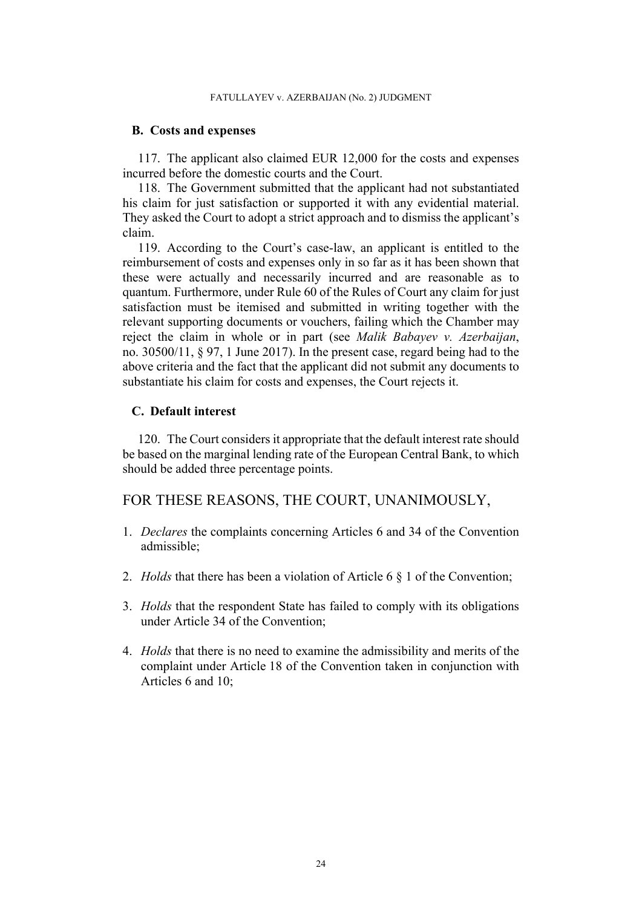## **B. Costs and expenses**

117. The applicant also claimed EUR 12,000 for the costs and expenses incurred before the domestic courts and the Court.

118. The Government submitted that the applicant had not substantiated his claim for just satisfaction or supported it with any evidential material. They asked the Court to adopt a strict approach and to dismiss the applicant's claim.

119. According to the Court's case-law, an applicant is entitled to the reimbursement of costs and expenses only in so far as it has been shown that these were actually and necessarily incurred and are reasonable as to quantum. Furthermore, under Rule 60 of the Rules of Court any claim for just satisfaction must be itemised and submitted in writing together with the relevant supporting documents or vouchers, failing which the Chamber may reject the claim in whole or in part (see *Malik Babayev v. Azerbaijan*, no. 30500/11, § 97, 1 June 2017). In the present case, regard being had to the above criteria and the fact that the applicant did not submit any documents to substantiate his claim for costs and expenses, the Court rejects it.

# **C. Default interest**

120. The Court considers it appropriate that the default interest rate should be based on the marginal lending rate of the European Central Bank, to which should be added three percentage points.

# FOR THESE REASONS, THE COURT, UNANIMOUSLY,

- 1. *Declares* the complaints concerning Articles 6 and 34 of the Convention admissible;
- 2. *Holds* that there has been a violation of Article 6 § 1 of the Convention;
- 3. *Holds* that the respondent State has failed to comply with its obligations under Article 34 of the Convention;
- 4. *Holds* that there is no need to examine the admissibility and merits of the complaint under Article 18 of the Convention taken in conjunction with Articles 6 and 10;